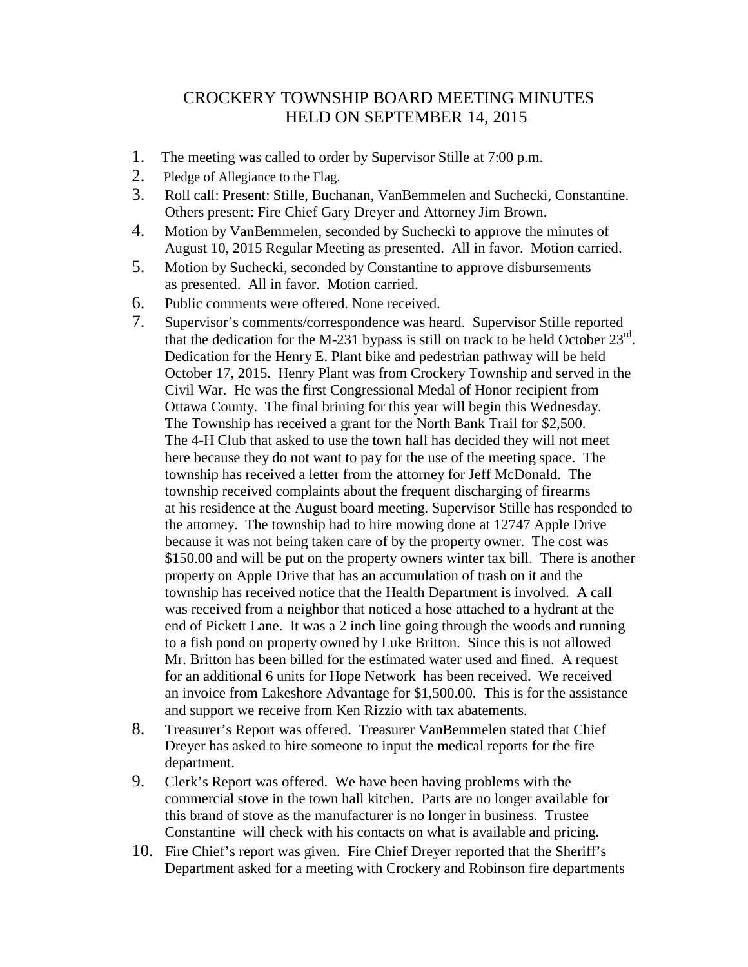## CROCKERY TOWNSHIP BOARD MEETING MINUTES HELD ON SEPTEMBER 14, 2015

- 1. The meeting was called to order by Supervisor Stille at 7:00 p.m.
- 2. Pledge of Allegiance to the Flag.
- 3. Roll call: Present: Stille, Buchanan, VanBemmelen and Suchecki, Constantine. Others present: Fire Chief Gary Dreyer and Attorney Jim Brown.
- 4. Motion by VanBemmelen, seconded by Suchecki to approve the minutes of August 10, 2015 Regular Meeting as presented. All in favor. Motion carried.
- 5. Motion by Suchecki, seconded by Constantine to approve disbursements as presented. All in favor. Motion carried.
- 6. Public comments were offered. None received.
- 7. Supervisor's comments/correspondence was heard. Supervisor Stille reported that the dedication for the M-231 bypass is still on track to be held October  $23<sup>rd</sup>$ . Dedication for the Henry E. Plant bike and pedestrian pathway will be held October 17, 2015. Henry Plant was from Crockery Township and served in the Civil War. He was the first Congressional Medal of Honor recipient from Ottawa County. The final brining for this year will begin this Wednesday. The Township has received a grant for the North Bank Trail for \$2,500. The 4-H Club that asked to use the town hall has decided they will not meet here because they do not want to pay for the use of the meeting space. The township has received a letter from the attorney for Jeff McDonald. The township received complaints about the frequent discharging of firearms at his residence at the August board meeting. Supervisor Stille has responded to the attorney. The township had to hire mowing done at 12747 Apple Drive because it was not being taken care of by the property owner. The cost was \$150.00 and will be put on the property owners winter tax bill. There is another property on Apple Drive that has an accumulation of trash on it and the township has received notice that the Health Department is involved. A call was received from a neighbor that noticed a hose attached to a hydrant at the end of Pickett Lane. It was a 2 inch line going through the woods and running to a fish pond on property owned by Luke Britton. Since this is not allowed Mr. Britton has been billed for the estimated water used and fined. A request for an additional 6 units for Hope Network has been received. We received an invoice from Lakeshore Advantage for \$1,500.00. This is for the assistance and support we receive from Ken Rizzio with tax abatements.
- 8. Treasurer's Report was offered. Treasurer VanBemmelen stated that Chief Dreyer has asked to hire someone to input the medical reports for the fire department.
- 9. Clerk's Report was offered. We have been having problems with the commercial stove in the town hall kitchen. Parts are no longer available for this brand of stove as the manufacturer is no longer in business. Trustee Constantine will check with his contacts on what is available and pricing.
- 10. Fire Chief's report was given. Fire Chief Dreyer reported that the Sheriff's Department asked for a meeting with Crockery and Robinson fire departments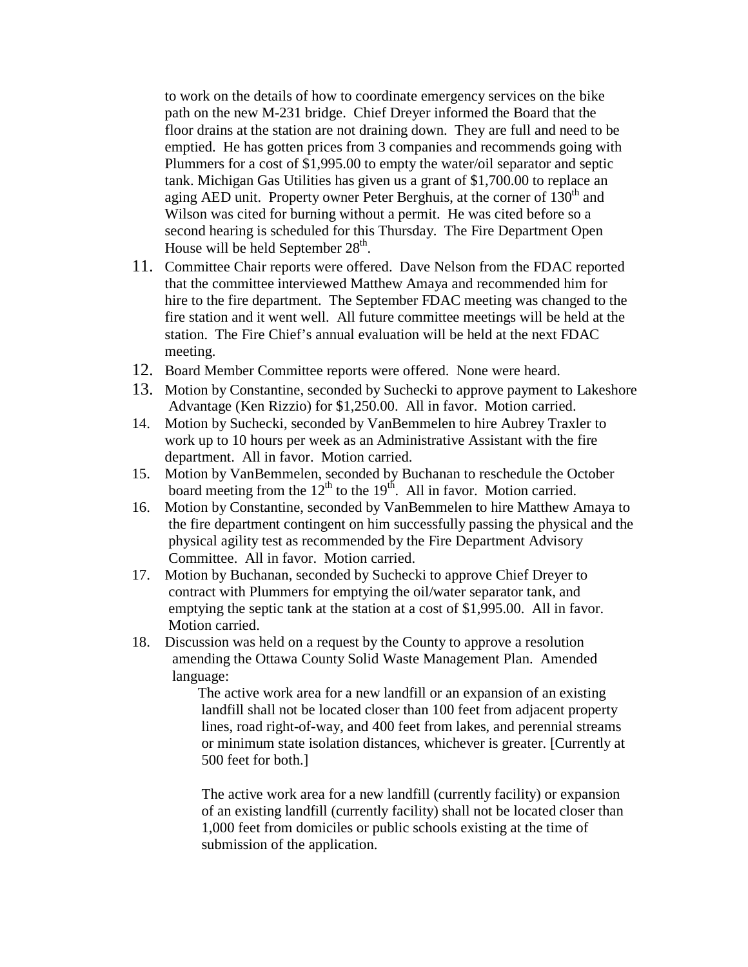to work on the details of how to coordinate emergency services on the bike path on the new M-231 bridge. Chief Dreyer informed the Board that the floor drains at the station are not draining down. They are full and need to be emptied. He has gotten prices from 3 companies and recommends going with Plummers for a cost of \$1,995.00 to empty the water/oil separator and septic tank. Michigan Gas Utilities has given us a grant of \$1,700.00 to replace an aging AED unit. Property owner Peter Berghuis, at the corner of 130<sup>th</sup> and Wilson was cited for burning without a permit. He was cited before so a second hearing is scheduled for this Thursday. The Fire Department Open House will be held September  $28<sup>th</sup>$ .

- 11. Committee Chair reports were offered. Dave Nelson from the FDAC reported that the committee interviewed Matthew Amaya and recommended him for hire to the fire department. The September FDAC meeting was changed to the fire station and it went well. All future committee meetings will be held at the station. The Fire Chief's annual evaluation will be held at the next FDAC meeting.
- 12. Board Member Committee reports were offered. None were heard.
- 13. Motion by Constantine, seconded by Suchecki to approve payment to Lakeshore Advantage (Ken Rizzio) for \$1,250.00. All in favor. Motion carried.
- 14. Motion by Suchecki, seconded by VanBemmelen to hire Aubrey Traxler to work up to 10 hours per week as an Administrative Assistant with the fire department. All in favor. Motion carried.
- 15. Motion by VanBemmelen, seconded by Buchanan to reschedule the October board meeting from the  $12<sup>th</sup>$  to the 19<sup>th</sup>. All in favor. Motion carried.
- 16. Motion by Constantine, seconded by VanBemmelen to hire Matthew Amaya to the fire department contingent on him successfully passing the physical and the physical agility test as recommended by the Fire Department Advisory Committee. All in favor. Motion carried.
- 17. Motion by Buchanan, seconded by Suchecki to approve Chief Dreyer to contract with Plummers for emptying the oil/water separator tank, and emptying the septic tank at the station at a cost of \$1,995.00. All in favor. Motion carried.
- 18. Discussion was held on a request by the County to approve a resolution amending the Ottawa County Solid Waste Management Plan. Amended language:

 The active work area for a new landfill or an expansion of an existing landfill shall not be located closer than 100 feet from adjacent property lines, road right-of-way, and 400 feet from lakes, and perennial streams or minimum state isolation distances, whichever is greater. [Currently at 500 feet for both.]

 The active work area for a new landfill (currently facility) or expansion of an existing landfill (currently facility) shall not be located closer than 1,000 feet from domiciles or public schools existing at the time of submission of the application.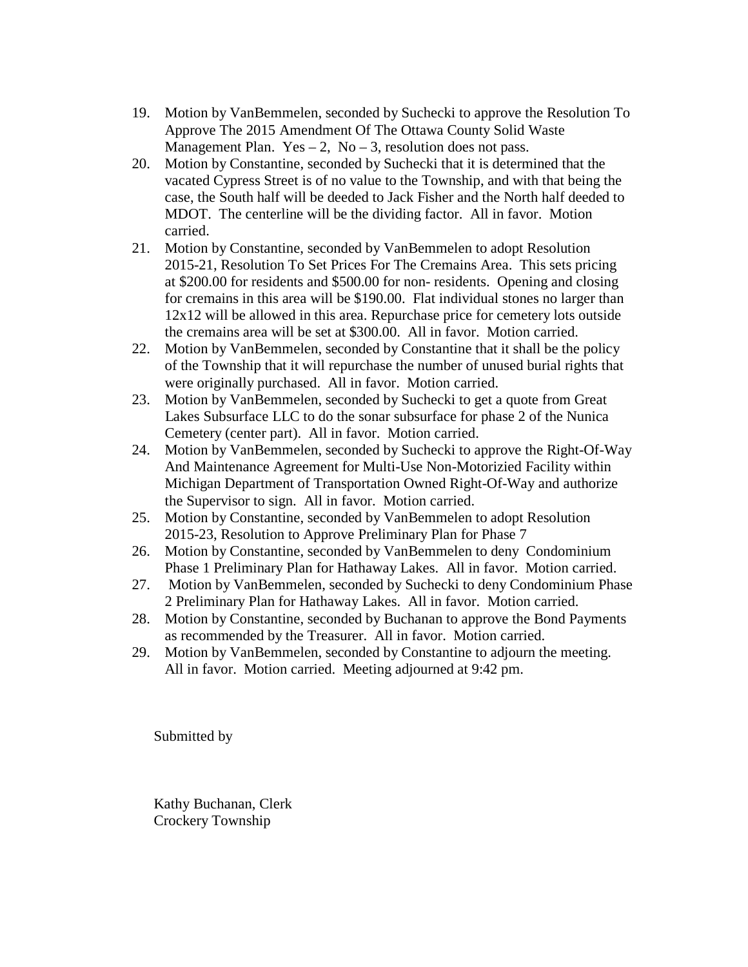- 19. Motion by VanBemmelen, seconded by Suchecki to approve the Resolution To Approve The 2015 Amendment Of The Ottawa County Solid Waste Management Plan. Yes  $-2$ , No  $-3$ , resolution does not pass.
- 20. Motion by Constantine, seconded by Suchecki that it is determined that the vacated Cypress Street is of no value to the Township, and with that being the case, the South half will be deeded to Jack Fisher and the North half deeded to MDOT. The centerline will be the dividing factor. All in favor. Motion carried.
- 21. Motion by Constantine, seconded by VanBemmelen to adopt Resolution 2015-21, Resolution To Set Prices For The Cremains Area. This sets pricing at \$200.00 for residents and \$500.00 for non- residents. Opening and closing for cremains in this area will be \$190.00. Flat individual stones no larger than 12x12 will be allowed in this area. Repurchase price for cemetery lots outside the cremains area will be set at \$300.00. All in favor. Motion carried.
- 22. Motion by VanBemmelen, seconded by Constantine that it shall be the policy of the Township that it will repurchase the number of unused burial rights that were originally purchased. All in favor. Motion carried.
- 23. Motion by VanBemmelen, seconded by Suchecki to get a quote from Great Lakes Subsurface LLC to do the sonar subsurface for phase 2 of the Nunica Cemetery (center part). All in favor. Motion carried.
- 24. Motion by VanBemmelen, seconded by Suchecki to approve the Right-Of-Way And Maintenance Agreement for Multi-Use Non-Motorizied Facility within Michigan Department of Transportation Owned Right-Of-Way and authorize the Supervisor to sign. All in favor. Motion carried.
- 25. Motion by Constantine, seconded by VanBemmelen to adopt Resolution 2015-23, Resolution to Approve Preliminary Plan for Phase 7
- 26. Motion by Constantine, seconded by VanBemmelen to deny Condominium Phase 1 Preliminary Plan for Hathaway Lakes. All in favor. Motion carried.
- 27. Motion by VanBemmelen, seconded by Suchecki to deny Condominium Phase 2 Preliminary Plan for Hathaway Lakes. All in favor. Motion carried.
- 28. Motion by Constantine, seconded by Buchanan to approve the Bond Payments as recommended by the Treasurer. All in favor. Motion carried.
- 29. Motion by VanBemmelen, seconded by Constantine to adjourn the meeting. All in favor. Motion carried. Meeting adjourned at 9:42 pm.

Submitted by

Kathy Buchanan, Clerk Crockery Township